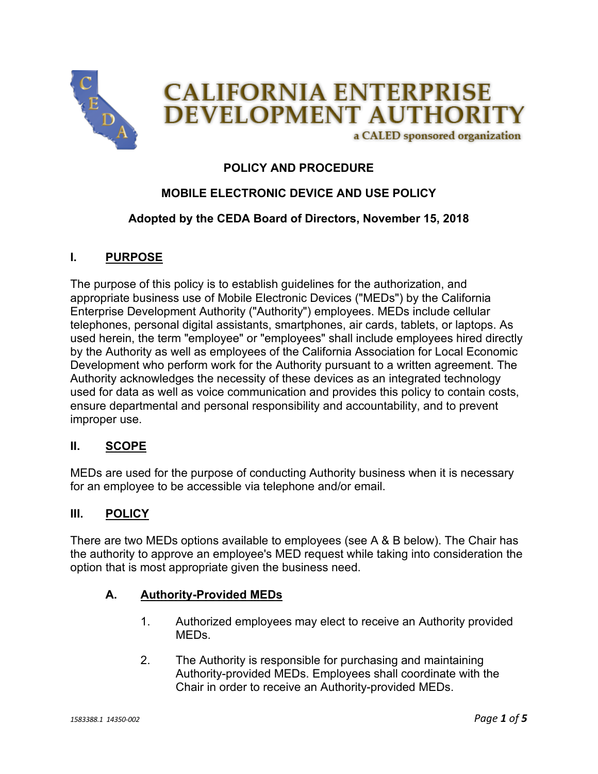

# **POLICY AND PROCEDURE**

# **MOBILE ELECTRONIC DEVICE AND USE POLICY**

## **Adopted by the CEDA Board of Directors, November 15, 2018**

## **I. PURPOSE**

The purpose of this policy is to establish guidelines for the authorization, and appropriate business use of Mobile Electronic Devices ("MEDs") by the California Enterprise Development Authority ("Authority") employees. MEDs include cellular telephones, personal digital assistants, smartphones, air cards, tablets, or laptops. As used herein, the term "employee" or "employees" shall include employees hired directly by the Authority as well as employees of the California Association for Local Economic Development who perform work for the Authority pursuant to a written agreement. The Authority acknowledges the necessity of these devices as an integrated technology used for data as well as voice communication and provides this policy to contain costs, ensure departmental and personal responsibility and accountability, and to prevent improper use.

#### **II. SCOPE**

MEDs are used for the purpose of conducting Authority business when it is necessary for an employee to be accessible via telephone and/or email.

#### **III. POLICY**

There are two MEDs options available to employees (see A & B below). The Chair has the authority to approve an employee's MED request while taking into consideration the option that is most appropriate given the business need.

#### **A. Authority-Provided MEDs**

- 1. Authorized employees may elect to receive an Authority provided MEDs.
- 2. The Authority is responsible for purchasing and maintaining Authority-provided MEDs. Employees shall coordinate with the Chair in order to receive an Authority-provided MEDs.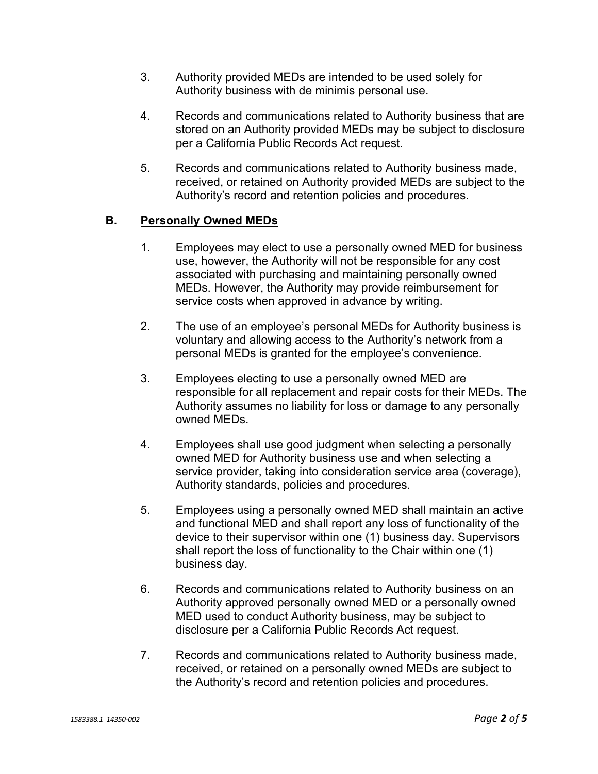- 3. Authority provided MEDs are intended to be used solely for Authority business with de minimis personal use.
- 4. Records and communications related to Authority business that are stored on an Authority provided MEDs may be subject to disclosure per a California Public Records Act request.
- 5. Records and communications related to Authority business made, received, or retained on Authority provided MEDs are subject to the Authority's record and retention policies and procedures.

## **B. Personally Owned MEDs**

- 1. Employees may elect to use a personally owned MED for business use, however, the Authority will not be responsible for any cost associated with purchasing and maintaining personally owned MEDs. However, the Authority may provide reimbursement for service costs when approved in advance by writing.
- 2. The use of an employee's personal MEDs for Authority business is voluntary and allowing access to the Authority's network from a personal MEDs is granted for the employee's convenience.
- 3. Employees electing to use a personally owned MED are responsible for all replacement and repair costs for their MEDs. The Authority assumes no liability for loss or damage to any personally owned MEDs.
- 4. Employees shall use good judgment when selecting a personally owned MED for Authority business use and when selecting a service provider, taking into consideration service area (coverage), Authority standards, policies and procedures.
- 5. Employees using a personally owned MED shall maintain an active and functional MED and shall report any loss of functionality of the device to their supervisor within one (1) business day. Supervisors shall report the loss of functionality to the Chair within one (1) business day.
- 6. Records and communications related to Authority business on an Authority approved personally owned MED or a personally owned MED used to conduct Authority business, may be subject to disclosure per a California Public Records Act request.
- 7. Records and communications related to Authority business made, received, or retained on a personally owned MEDs are subject to the Authority's record and retention policies and procedures.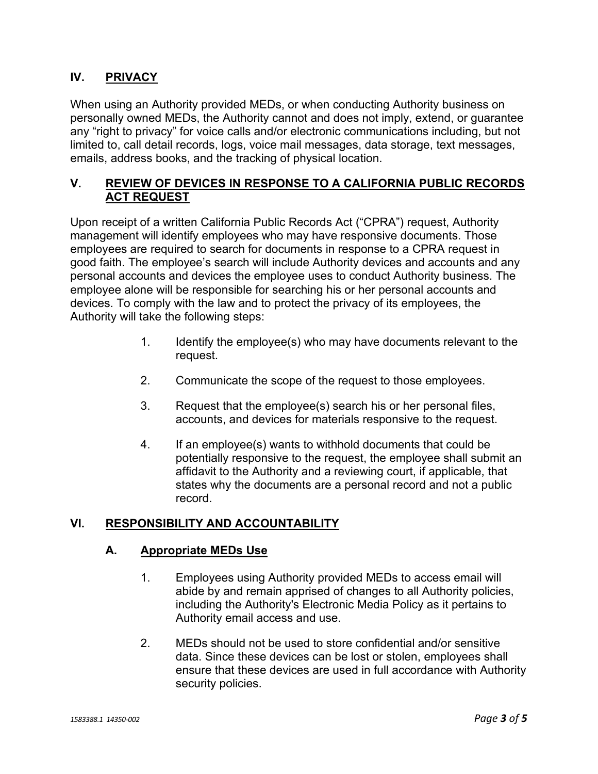## **IV. PRIVACY**

When using an Authority provided MEDs, or when conducting Authority business on personally owned MEDs, the Authority cannot and does not imply, extend, or guarantee any "right to privacy" for voice calls and/or electronic communications including, but not limited to, call detail records, logs, voice mail messages, data storage, text messages, emails, address books, and the tracking of physical location.

## **V. REVIEW OF DEVICES IN RESPONSE TO A CALIFORNIA PUBLIC RECORDS ACT REQUEST**

Upon receipt of a written California Public Records Act ("CPRA") request, Authority management will identify employees who may have responsive documents. Those employees are required to search for documents in response to a CPRA request in good faith. The employee's search will include Authority devices and accounts and any personal accounts and devices the employee uses to conduct Authority business. The employee alone will be responsible for searching his or her personal accounts and devices. To comply with the law and to protect the privacy of its employees, the Authority will take the following steps:

- 1. Identify the employee(s) who may have documents relevant to the request.
- 2. Communicate the scope of the request to those employees.
- 3. Request that the employee(s) search his or her personal files, accounts, and devices for materials responsive to the request.
- 4. If an employee(s) wants to withhold documents that could be potentially responsive to the request, the employee shall submit an affidavit to the Authority and a reviewing court, if applicable, that states why the documents are a personal record and not a public record.

# **VI. RESPONSIBILITY AND ACCOUNTABILITY**

#### **A. Appropriate MEDs Use**

- 1. Employees using Authority provided MEDs to access email will abide by and remain apprised of changes to all Authority policies, including the Authority's Electronic Media Policy as it pertains to Authority email access and use.
- 2. MEDs should not be used to store confidential and/or sensitive data. Since these devices can be lost or stolen, employees shall ensure that these devices are used in full accordance with Authority security policies.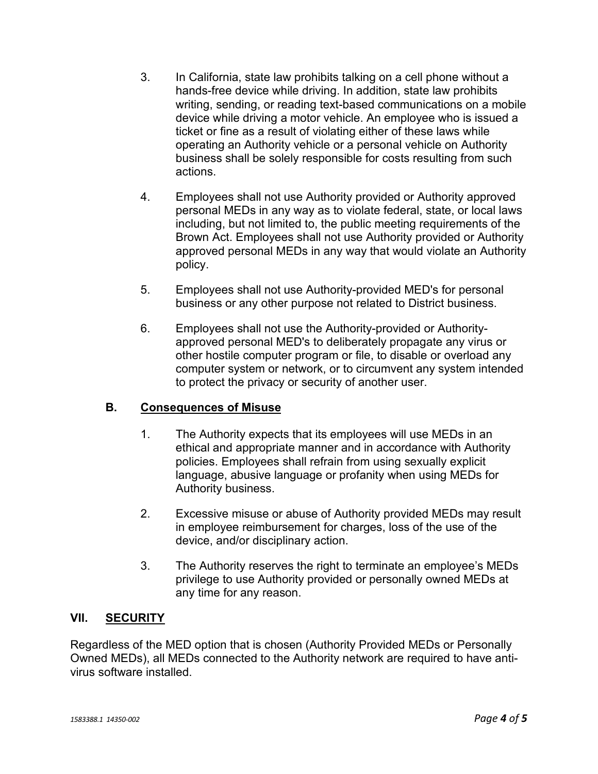- 3. In California, state law prohibits talking on a cell phone without a hands-free device while driving. In addition, state law prohibits writing, sending, or reading text-based communications on a mobile device while driving a motor vehicle. An employee who is issued a ticket or fine as a result of violating either of these laws while operating an Authority vehicle or a personal vehicle on Authority business shall be solely responsible for costs resulting from such actions.
- 4. Employees shall not use Authority provided or Authority approved personal MEDs in any way as to violate federal, state, or local laws including, but not limited to, the public meeting requirements of the Brown Act. Employees shall not use Authority provided or Authority approved personal MEDs in any way that would violate an Authority policy.
- 5. Employees shall not use Authority-provided MED's for personal business or any other purpose not related to District business.
- 6. Employees shall not use the Authority-provided or Authorityapproved personal MED's to deliberately propagate any virus or other hostile computer program or file, to disable or overload any computer system or network, or to circumvent any system intended to protect the privacy or security of another user.

# **B. Consequences of Misuse**

- 1. The Authority expects that its employees will use MEDs in an ethical and appropriate manner and in accordance with Authority policies. Employees shall refrain from using sexually explicit language, abusive language or profanity when using MEDs for Authority business.
- 2. Excessive misuse or abuse of Authority provided MEDs may result in employee reimbursement for charges, loss of the use of the device, and/or disciplinary action.
- 3. The Authority reserves the right to terminate an employee's MEDs privilege to use Authority provided or personally owned MEDs at any time for any reason.

# **VII. SECURITY**

Regardless of the MED option that is chosen (Authority Provided MEDs or Personally Owned MEDs), all MEDs connected to the Authority network are required to have antivirus software installed.